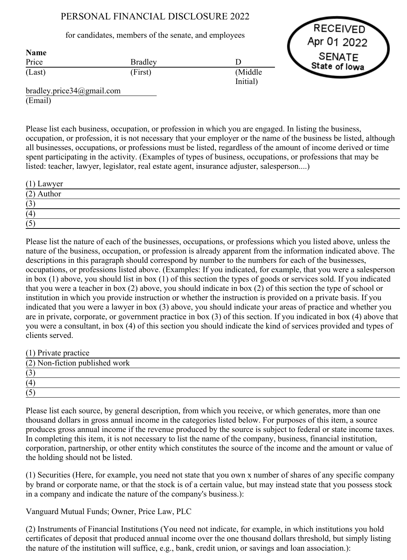# PERSONAL FINANCIAL DISCLOSURE 2022

## for candidates, members of the senate, and employees

Bradley (First)

RECEIVED Apr 01 2022 **SENATE** State of Iowa

bradley.price34@gmail.com (Email)

Price (Last)

Name

Please list each business, occupation, or profession in which you are engaged. In listing the business, occupation, or profession, it is not necessary that your employer or the name of the business be listed, although all businesses, occupations, or professions must be listed, regardless of the amount of income derived or time spent participating in the activity. (Examples of types of business, occupations, or professions that may be listed: teacher, lawyer, legislator, real estate agent, insurance adjuster, salesperson....)

D

(Middle Initial)

| $(1)$ Lawyer                 |  |
|------------------------------|--|
| $(2)$ Author                 |  |
| $\sqrt{2}$<br>$\mathfrak{S}$ |  |
| (4)                          |  |
| (5)                          |  |

Please list the nature of each of the businesses, occupations, or professions which you listed above, unless the nature of the business, occupation, or profession is already apparent from the information indicated above. The descriptions in this paragraph should correspond by number to the numbers for each of the businesses, occupations, or professions listed above. (Examples: If you indicated, for example, that you were a salesperson in box (1) above, you should list in box (1) of this section the types of goods or services sold. If you indicated that you were a teacher in box (2) above, you should indicate in box (2) of this section the type of school or institution in which you provide instruction or whether the instruction is provided on a private basis. If you indicated that you were a lawyer in box (3) above, you should indicate your areas of practice and whether you are in private, corporate, or government practice in box (3) of this section. If you indicated in box (4) above that you were a consultant, in box (4) of this section you should indicate the kind of services provided and types of clients served.

(1) Private practice

| $(2)$ Non-fiction published work     |  |  |
|--------------------------------------|--|--|
| (3)                                  |  |  |
| (4)                                  |  |  |
| <u>—</u><br>$\leftrightarrow$<br>' ~ |  |  |

Please list each source, by general description, from which you receive, or which generates, more than one thousand dollars in gross annual income in the categories listed below. For purposes of this item, a source produces gross annual income if the revenue produced by the source is subject to federal or state income taxes. In completing this item, it is not necessary to list the name of the company, business, financial institution, corporation, partnership, or other entity which constitutes the source of the income and the amount or value of the holding should not be listed.

(1) Securities (Here, for example, you need not state that you own x number of shares of any specific company by brand or corporate name, or that the stock is of a certain value, but may instead state that you possess stock in a company and indicate the nature of the company's business.):

Vanguard Mutual Funds; Owner, Price Law, PLC

(2) Instruments of Financial Institutions (You need not indicate, for example, in which institutions you hold certificates of deposit that produced annual income over the one thousand dollars threshold, but simply listing the nature of the institution will suffice, e.g., bank, credit union, or savings and loan association.):